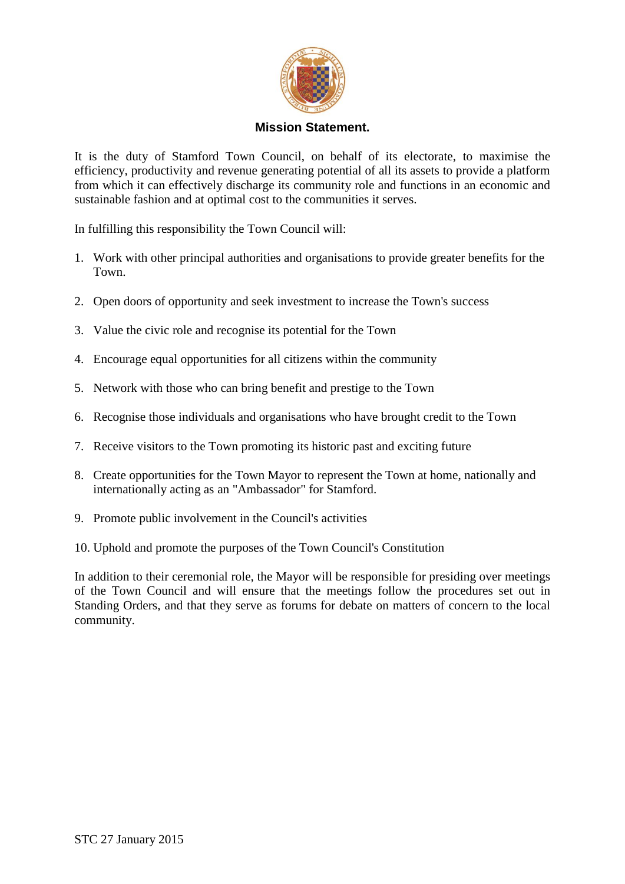

## **Mission Statement.**

It is the duty of Stamford Town Council, on behalf of its electorate, to maximise the efficiency, productivity and revenue generating potential of all its assets to provide a platform from which it can effectively discharge its community role and functions in an economic and sustainable fashion and at optimal cost to the communities it serves.

In fulfilling this responsibility the Town Council will:

- 1. Work with other principal authorities and organisations to provide greater benefits for the Town.
- 2. Open doors of opportunity and seek investment to increase the Town's success
- 3. Value the civic role and recognise its potential for the Town
- 4. Encourage equal opportunities for all citizens within the community
- 5. Network with those who can bring benefit and prestige to the Town
- 6. Recognise those individuals and organisations who have brought credit to the Town
- 7. Receive visitors to the Town promoting its historic past and exciting future
- 8. Create opportunities for the Town Mayor to represent the Town at home, nationally and internationally acting as an "Ambassador" for Stamford.
- 9. Promote public involvement in the Council's activities
- 10. Uphold and promote the purposes of the Town Council's Constitution

In addition to their ceremonial role, the Mayor will be responsible for presiding over meetings of the Town Council and will ensure that the meetings follow the procedures set out in Standing Orders, and that they serve as forums for debate on matters of concern to the local community.